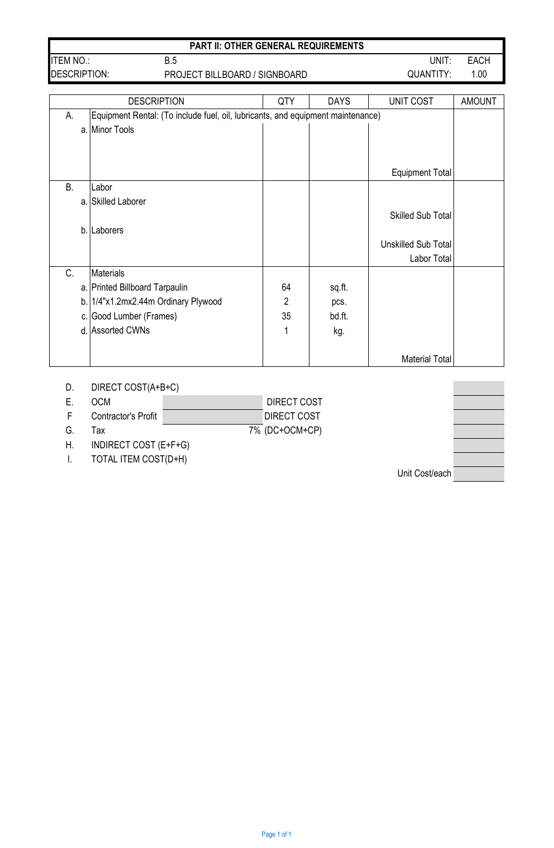|                     | <b>PART II: OTHER GENERAL REQUIREMENTS</b> |           |      |
|---------------------|--------------------------------------------|-----------|------|
| <b>ITEM NO.:</b>    | B.5                                        | UNIT:     | EACH |
| <b>DESCRIPTION:</b> | PROJECT BILLBOARD / SIGNBOARD              | QUANTITY: | 1.00 |

|                                                                                       |    | <b>DESCRIPTION</b>               | QTY            | <b>DAYS</b> | UNIT COST                  | <b>AMOUNT</b> |
|---------------------------------------------------------------------------------------|----|----------------------------------|----------------|-------------|----------------------------|---------------|
|                                                                                       |    |                                  |                |             |                            |               |
| Equipment Rental: (To include fuel, oil, lubricants, and equipment maintenance)<br>А. |    |                                  |                |             |                            |               |
|                                                                                       | a. | Minor Tools                      |                |             |                            |               |
|                                                                                       |    |                                  |                |             |                            |               |
|                                                                                       |    |                                  |                |             |                            |               |
|                                                                                       |    |                                  |                |             | <b>Equipment Total</b>     |               |
| B.                                                                                    |    | Labor                            |                |             |                            |               |
|                                                                                       |    | a. Skilled Laborer               |                |             |                            |               |
|                                                                                       |    |                                  |                |             | <b>Skilled Sub Total</b>   |               |
|                                                                                       | b. | Laborers                         |                |             |                            |               |
|                                                                                       |    |                                  |                |             | <b>Unskilled Sub Total</b> |               |
|                                                                                       |    |                                  |                |             | Labor Total                |               |
| C.                                                                                    |    | <b>Materials</b>                 |                |             |                            |               |
|                                                                                       |    |                                  |                |             |                            |               |
|                                                                                       |    | a. Printed Billboard Tarpaulin   | 64             | sq.ft.      |                            |               |
|                                                                                       | b. | 1/4"x1.2mx2.44m Ordinary Plywood | $\overline{2}$ | pcs.        |                            |               |
|                                                                                       | C. | Good Lumber (Frames)             | 35             | bd.ft.      |                            |               |
|                                                                                       |    | d. Assorted CWNs                 | 1              | kg.         |                            |               |
|                                                                                       |    |                                  |                |             |                            |               |
|                                                                                       |    |                                  |                |             | <b>Material Total</b>      |               |

| DIRECT COST(A+B+C)<br>D. |  |
|--------------------------|--|
|--------------------------|--|

| <b>OCM</b> |  |  | <b>DIRECT COST</b> |
|------------|--|--|--------------------|
|------------|--|--|--------------------|

- F Contractor's Profit DIRECT COST
- G. Tax 7% (DC+OCM+CP)

H. INDIRECT COST (E+F+G)

I. TOTAL ITEM COST(D+H)

Unit Cost/each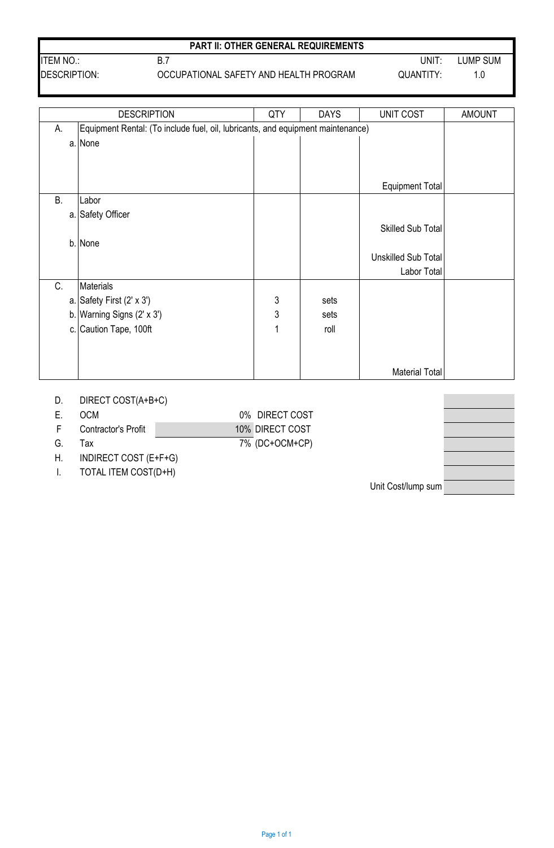|  |  | <b>PART II: OTHER GENERAL REQUIREMENTS</b> |
|--|--|--------------------------------------------|
|--|--|--------------------------------------------|

DESCRIPTION: QUANTITY: 1.0 OCCUPATIONAL SAFETY AND HEALTH PROGRAM

ITEM NO.: UNIT: LUMP SUM

|           | <b>DESCRIPTION</b>                                                              | QTY          | <b>DAYS</b> | UNIT COST                | <b>AMOUNT</b> |
|-----------|---------------------------------------------------------------------------------|--------------|-------------|--------------------------|---------------|
| А.        | Equipment Rental: (To include fuel, oil, lubricants, and equipment maintenance) |              |             |                          |               |
|           | a. None                                                                         |              |             |                          |               |
|           |                                                                                 |              |             |                          |               |
|           |                                                                                 |              |             |                          |               |
|           |                                                                                 |              |             | Equipment Total          |               |
| <b>B.</b> | Labor                                                                           |              |             |                          |               |
| a.        | Safety Officer                                                                  |              |             |                          |               |
|           |                                                                                 |              |             | <b>Skilled Sub Total</b> |               |
|           | b. None                                                                         |              |             |                          |               |
|           |                                                                                 |              |             | Unskilled Sub Total      |               |
|           |                                                                                 |              |             | Labor Total              |               |
| C.        | <b>Materials</b>                                                                |              |             |                          |               |
|           | a. Safety First $(2' \times 3')$                                                | $\mathbf{3}$ | sets        |                          |               |
|           | b. Warning Signs $(2' \times 3')$                                               | 3            | sets        |                          |               |
|           | c. Caution Tape, 100ft                                                          | 1            | roll        |                          |               |
|           |                                                                                 |              |             |                          |               |
|           |                                                                                 |              |             |                          |               |
|           |                                                                                 |              |             | Material Total           |               |

# D. DIRECT COST(A+B+C)

E. OCM 0% DIRECT COST

B.7

- F Contractor's Profit 10% DIRECT COST G. Tax  $\overline{7\%}$  (DC+OCM+CP)
- 

H. INDIRECT COST (E+F+G)

I. TOTAL ITEM COST(D+H)

Unit Cost/lump sum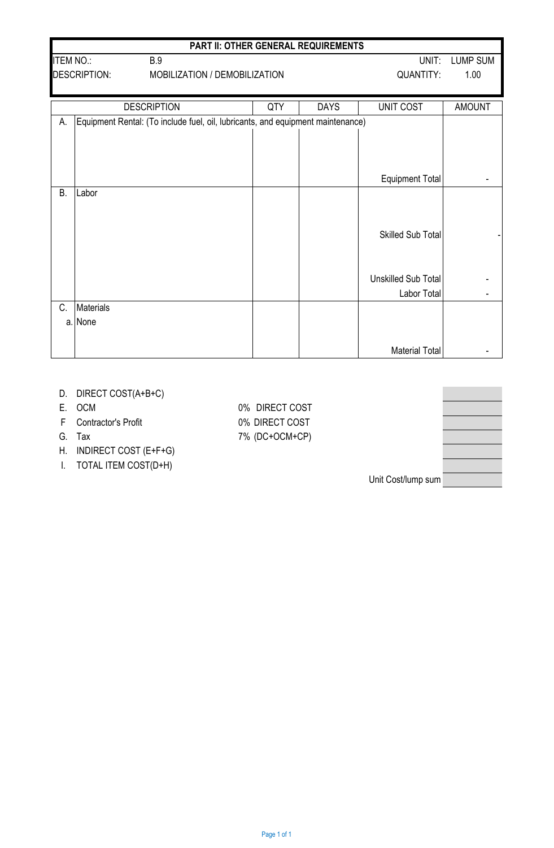|                  |                                                      |                                                                                 | <b>PART II: OTHER GENERAL REQUIREMENTS</b> |             |                            |                 |
|------------------|------------------------------------------------------|---------------------------------------------------------------------------------|--------------------------------------------|-------------|----------------------------|-----------------|
| <b>ITEM NO.:</b> |                                                      | <b>B.9</b>                                                                      |                                            |             | UNIT:                      | <b>LUMP SUM</b> |
|                  | <b>DESCRIPTION:</b><br>MOBILIZATION / DEMOBILIZATION |                                                                                 |                                            |             | <b>QUANTITY:</b>           | 1.00            |
|                  |                                                      |                                                                                 |                                            |             |                            |                 |
|                  |                                                      | <b>DESCRIPTION</b>                                                              | QTY                                        | <b>DAYS</b> | <b>UNIT COST</b>           | <b>AMOUNT</b>   |
| А.               |                                                      | Equipment Rental: (To include fuel, oil, lubricants, and equipment maintenance) |                                            |             |                            |                 |
|                  |                                                      |                                                                                 |                                            |             |                            |                 |
|                  |                                                      |                                                                                 |                                            |             |                            |                 |
|                  |                                                      |                                                                                 |                                            |             | <b>Equipment Total</b>     |                 |
| <b>B.</b>        | Labor                                                |                                                                                 |                                            |             |                            |                 |
|                  |                                                      |                                                                                 |                                            |             |                            |                 |
|                  |                                                      |                                                                                 |                                            |             |                            |                 |
|                  |                                                      |                                                                                 |                                            |             | <b>Skilled Sub Total</b>   |                 |
|                  |                                                      |                                                                                 |                                            |             |                            |                 |
|                  |                                                      |                                                                                 |                                            |             |                            |                 |
|                  |                                                      |                                                                                 |                                            |             | <b>Unskilled Sub Total</b> |                 |
|                  |                                                      |                                                                                 |                                            |             | Labor Total                |                 |
| C.               | <b>Materials</b>                                     |                                                                                 |                                            |             |                            |                 |
| a.               | None                                                 |                                                                                 |                                            |             |                            |                 |
|                  |                                                      |                                                                                 |                                            |             |                            |                 |
|                  |                                                      |                                                                                 |                                            |             | <b>Material Total</b>      |                 |

- D. DIRECT COST(A+B+C)
- 
- F Contractor's Profit 0% DIRECT COST
- 
- H. INDIRECT COST (E+F+G)
- I. TOTAL ITEM COST(D+H)

E. OCM 0% DIRECT COST G. Tax  $7\%$  (DC+OCM+CP)

Unit Cost/lump sum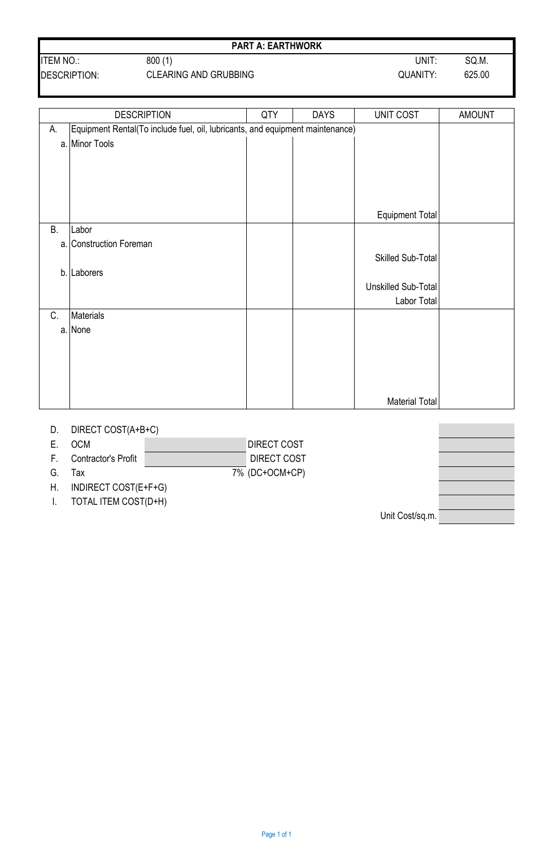| <b>ITEM NO.:</b>    | 800(1)                       | UNIT.    | SQ.M.  |
|---------------------|------------------------------|----------|--------|
| <b>DESCRIPTION:</b> | <b>CLEARING AND GRUBBING</b> | QUANITY: | 625.00 |

#### **PART A: EARTHWORK**

|           | <b>DESCRIPTION</b>                                                            | QTY | <b>DAYS</b> | UNIT COST              | <b>AMOUNT</b> |  |
|-----------|-------------------------------------------------------------------------------|-----|-------------|------------------------|---------------|--|
| А.        | Equipment Rental(To include fuel, oil, lubricants, and equipment maintenance) |     |             |                        |               |  |
|           | a. Minor Tools                                                                |     |             |                        |               |  |
|           |                                                                               |     |             |                        |               |  |
|           |                                                                               |     |             |                        |               |  |
|           |                                                                               |     |             |                        |               |  |
|           |                                                                               |     |             |                        |               |  |
|           |                                                                               |     |             | <b>Equipment Total</b> |               |  |
| <b>B.</b> | Labor                                                                         |     |             |                        |               |  |
|           | a. Construction Foreman                                                       |     |             |                        |               |  |
|           |                                                                               |     |             | Skilled Sub-Total      |               |  |
|           | b. Laborers                                                                   |     |             |                        |               |  |
|           |                                                                               |     |             | Unskilled Sub-Total    |               |  |
|           |                                                                               |     |             | Labor Total            |               |  |
| C.        | Materials                                                                     |     |             |                        |               |  |
|           | a. None                                                                       |     |             |                        |               |  |
|           |                                                                               |     |             |                        |               |  |
|           |                                                                               |     |             |                        |               |  |
|           |                                                                               |     |             |                        |               |  |
|           |                                                                               |     |             |                        |               |  |
|           |                                                                               |     |             | <b>Material Total</b>  |               |  |

## D. DIRECT COST(A+B+C)

| Е. | <b>OCM</b> | <b>DIRECT COST</b> |
|----|------------|--------------------|
|    |            |                    |

F. Contractor's Profit G. Tax  $\overline{7\%}$  (DC+OCM+CP)

H. INDIRECT COST(E+F+G)

I. TOTAL ITEM COST(D+H)

Unit Cost/sq.m.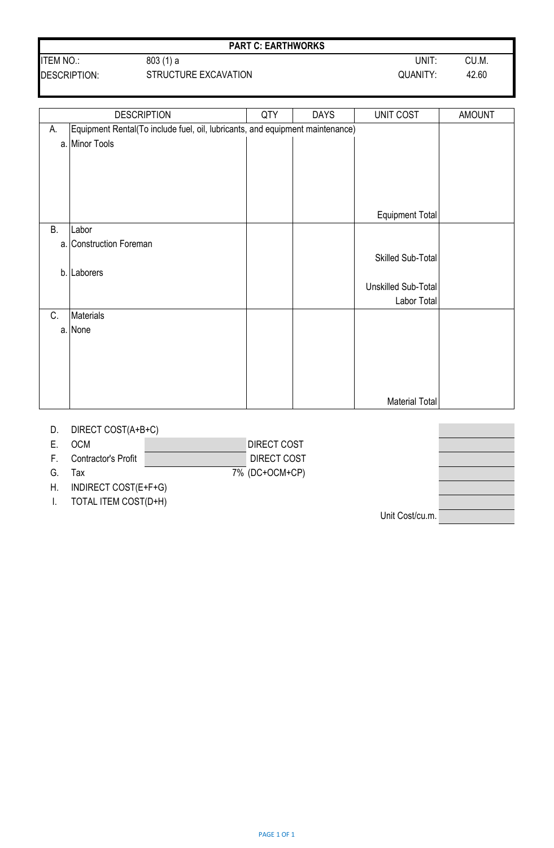| <b>ITEM NO</b> | 803(1) a                    | UNIT:              | CU.M. |
|----------------|-----------------------------|--------------------|-------|
| P              | <b>CTDUCTUDE EVO MUTION</b> | $\bigcap$ IANIITV. | 10.00 |

### **PART C: EARTHWORKS**

DESCRIPTION: STRUCTURE EXCAVATION CONSIDERATION COUANITY: 42.60

|    | <b>DESCRIPTION</b>                                                            | QTY | <b>DAYS</b> | UNIT COST           | <b>AMOUNT</b> |
|----|-------------------------------------------------------------------------------|-----|-------------|---------------------|---------------|
| А. | Equipment Rental(To include fuel, oil, lubricants, and equipment maintenance) |     |             |                     |               |
|    | a. Minor Tools                                                                |     |             |                     |               |
|    |                                                                               |     |             |                     |               |
|    |                                                                               |     |             |                     |               |
|    |                                                                               |     |             |                     |               |
|    |                                                                               |     |             |                     |               |
|    |                                                                               |     |             | Equipment Total     |               |
| В. | Labor                                                                         |     |             |                     |               |
|    | a. Construction Foreman                                                       |     |             |                     |               |
|    |                                                                               |     |             | Skilled Sub-Total   |               |
| b. | Laborers                                                                      |     |             |                     |               |
|    |                                                                               |     |             | Unskilled Sub-Total |               |
|    |                                                                               |     |             | Labor Total         |               |
| C. | Materials                                                                     |     |             |                     |               |
|    | a. None                                                                       |     |             |                     |               |
|    |                                                                               |     |             |                     |               |
|    |                                                                               |     |             |                     |               |
|    |                                                                               |     |             |                     |               |
|    |                                                                               |     |             |                     |               |
|    |                                                                               |     |             | Material Total      |               |

### D. DIRECT COST(A+B+C)

| ЭCМ | <b>DIRECT COST</b> |
|-----|--------------------|
|     |                    |
|     |                    |

F. Contractor's Profit

G. Tax  $\overline{7\%}$  (DC+OCM+CP)

H. INDIRECT COST(E+F+G)

I. TOTAL ITEM COST(D+H)

Unit Cost/cu.m.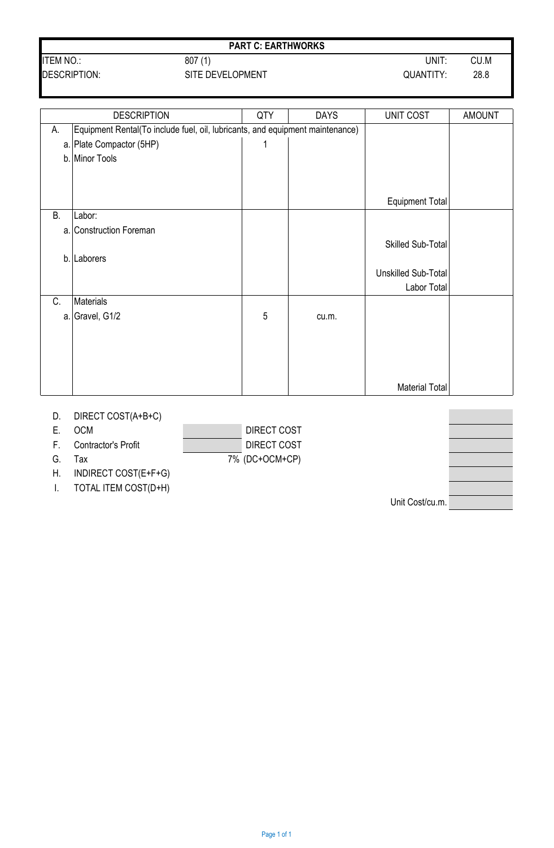## **PART C: EARTHWORKS**

DESCRIPTION: SITE DEVELOPMENT CONTROL CONTROL 28.8

|           | <b>DESCRIPTION</b>                                                            | QTY        | <b>DAYS</b> | UNIT COST              | <b>AMOUNT</b> |
|-----------|-------------------------------------------------------------------------------|------------|-------------|------------------------|---------------|
| А.        | Equipment Rental(To include fuel, oil, lubricants, and equipment maintenance) |            |             |                        |               |
|           | a. Plate Compactor (5HP)                                                      | 1          |             |                        |               |
|           | b. Minor Tools                                                                |            |             |                        |               |
|           |                                                                               |            |             |                        |               |
|           |                                                                               |            |             | <b>Equipment Total</b> |               |
| <b>B.</b> | Labor:                                                                        |            |             |                        |               |
|           | a. Construction Foreman                                                       |            |             |                        |               |
|           |                                                                               |            |             | Skilled Sub-Total      |               |
| b.        | Laborers                                                                      |            |             |                        |               |
|           |                                                                               |            |             | Unskilled Sub-Total    |               |
|           |                                                                               |            |             | Labor Total            |               |
| C.        | <b>Materials</b>                                                              |            |             |                        |               |
|           | a. Gravel, $G1/2$                                                             | $\sqrt{5}$ | cu.m.       |                        |               |
|           |                                                                               |            |             |                        |               |
|           |                                                                               |            |             |                        |               |
|           |                                                                               |            |             |                        |               |
|           |                                                                               |            |             |                        |               |
|           |                                                                               |            |             | <b>Material Total</b>  |               |

## D. DIRECT COST(A+B+C)

E. OCM DIRECT COST

F. Contractor's Profit DIRECT COST

G. Tax 7% (DC+OCM+CP)

H. INDIRECT COST(E+F+G)

I. TOTAL ITEM COST(D+H)

Unit Cost/cu.m.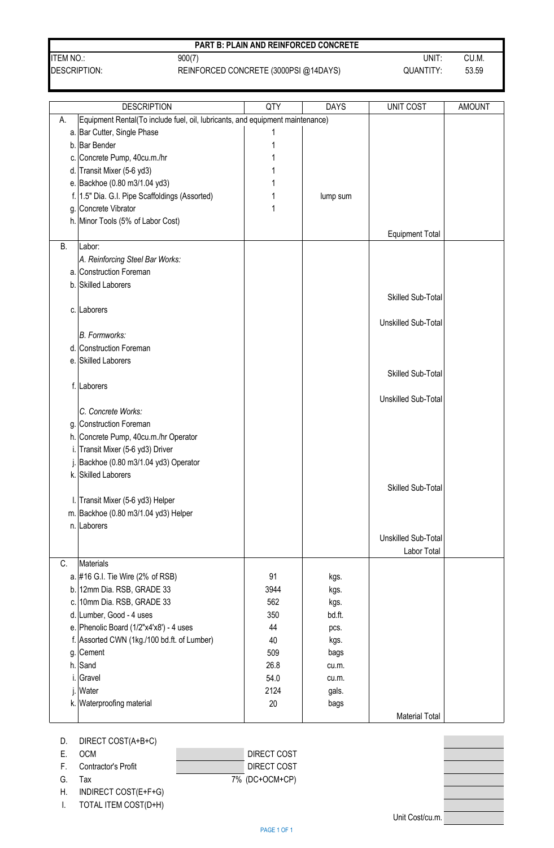|                | <b>PART B: PLAIN AND REINFORCED CONCRETE</b> |           |       |
|----------------|----------------------------------------------|-----------|-------|
| <b>ITEM NO</b> | 900(7)                                       | UNIT      | CU.M. |
| DESCRIPTION:   | REINFORCED CONCRETE (3000PSI @14DAYS)        | QUANTITY: | 53.59 |

|    | <b>DESCRIPTION</b>                                                            | QTY  | <b>DAYS</b> | <b>UNIT COST</b>           | <b>AMOUNT</b> |
|----|-------------------------------------------------------------------------------|------|-------------|----------------------------|---------------|
| А. | Equipment Rental(To include fuel, oil, lubricants, and equipment maintenance) |      |             |                            |               |
|    | a. Bar Cutter, Single Phase                                                   |      |             |                            |               |
|    | b. Bar Bender                                                                 |      |             |                            |               |
|    | c. Concrete Pump, 40cu.m./hr                                                  |      |             |                            |               |
|    | d. Transit Mixer (5-6 yd3)                                                    |      |             |                            |               |
|    | e. Backhoe (0.80 m3/1.04 yd3)                                                 |      |             |                            |               |
|    | f. 1.5" Dia. G.I. Pipe Scaffoldings (Assorted)                                |      | lump sum    |                            |               |
|    | g. Concrete Vibrator                                                          |      |             |                            |               |
|    |                                                                               |      |             |                            |               |
|    | h. Minor Tools (5% of Labor Cost)                                             |      |             |                            |               |
| В. | Labor:                                                                        |      |             | <b>Equipment Total</b>     |               |
|    | A. Reinforcing Steel Bar Works:                                               |      |             |                            |               |
|    | a. Construction Foreman                                                       |      |             |                            |               |
|    | b. Skilled Laborers                                                           |      |             |                            |               |
|    |                                                                               |      |             |                            |               |
|    |                                                                               |      |             | <b>Skilled Sub-Total</b>   |               |
|    | c. Laborers                                                                   |      |             |                            |               |
|    |                                                                               |      |             | <b>Unskilled Sub-Total</b> |               |
|    | <b>B.</b> Formworks:                                                          |      |             |                            |               |
|    | d. Construction Foreman                                                       |      |             |                            |               |
|    | e. Skilled Laborers                                                           |      |             |                            |               |
|    |                                                                               |      |             | Skilled Sub-Total          |               |
|    | f. Laborers                                                                   |      |             |                            |               |
|    |                                                                               |      |             | <b>Unskilled Sub-Total</b> |               |
|    | C. Concrete Works:                                                            |      |             |                            |               |
|    | g. Construction Foreman                                                       |      |             |                            |               |
|    | h. Concrete Pump, 40cu.m./hr Operator                                         |      |             |                            |               |
|    | Transit Mixer (5-6 yd3) Driver                                                |      |             |                            |               |
|    | Backhoe (0.80 m3/1.04 yd3) Operator                                           |      |             |                            |               |
|    | k. Skilled Laborers                                                           |      |             |                            |               |
|    |                                                                               |      |             | Skilled Sub-Total          |               |
|    | I. Transit Mixer (5-6 yd3) Helper                                             |      |             |                            |               |
|    | m. Backhoe (0.80 m3/1.04 yd3) Helper                                          |      |             |                            |               |
|    | n. Laborers                                                                   |      |             |                            |               |
|    |                                                                               |      |             | <b>Unskilled Sub-Total</b> |               |
|    |                                                                               |      |             | Labor Total                |               |
| C. | Materials                                                                     |      |             |                            |               |
|    | a. #16 G.I. Tie Wire (2% of RSB)                                              | 91   | kgs.        |                            |               |
|    | b. 12mm Dia. RSB, GRADE 33                                                    | 3944 | kgs.        |                            |               |
|    | c. 10mm Dia. RSB, GRADE 33                                                    | 562  | kgs.        |                            |               |
|    | d. Lumber, Good - 4 uses                                                      | 350  | bd.ft.      |                            |               |
|    | e. Phenolic Board (1/2"x4'x8') - 4 uses                                       | 44   | pcs.        |                            |               |
|    | f. Assorted CWN (1kg./100 bd.ft. of Lumber)                                   | 40   | kgs.        |                            |               |
|    | g. Cement                                                                     | 509  | bags        |                            |               |
|    | $h.$ Sand                                                                     | 26.8 | cu.m.       |                            |               |
| i. | Gravel                                                                        | 54.0 | cu.m.       |                            |               |
|    | Water                                                                         | 2124 | gals.       |                            |               |
|    | k. Waterproofing material                                                     | 20   |             |                            |               |
|    |                                                                               |      | bags        |                            |               |
|    |                                                                               |      |             | <b>Material Total</b>      |               |

| E. | - OCM                  | DIRECT COST    |
|----|------------------------|----------------|
|    | F. Contractor's Profit | DIRECT COST    |
| G. | Тах                    | 7% (DC+OCM+CP) |
|    |                        |                |

H. INDIRECT COST(E+F+G)

I. TOTAL ITEM COST(D+H)